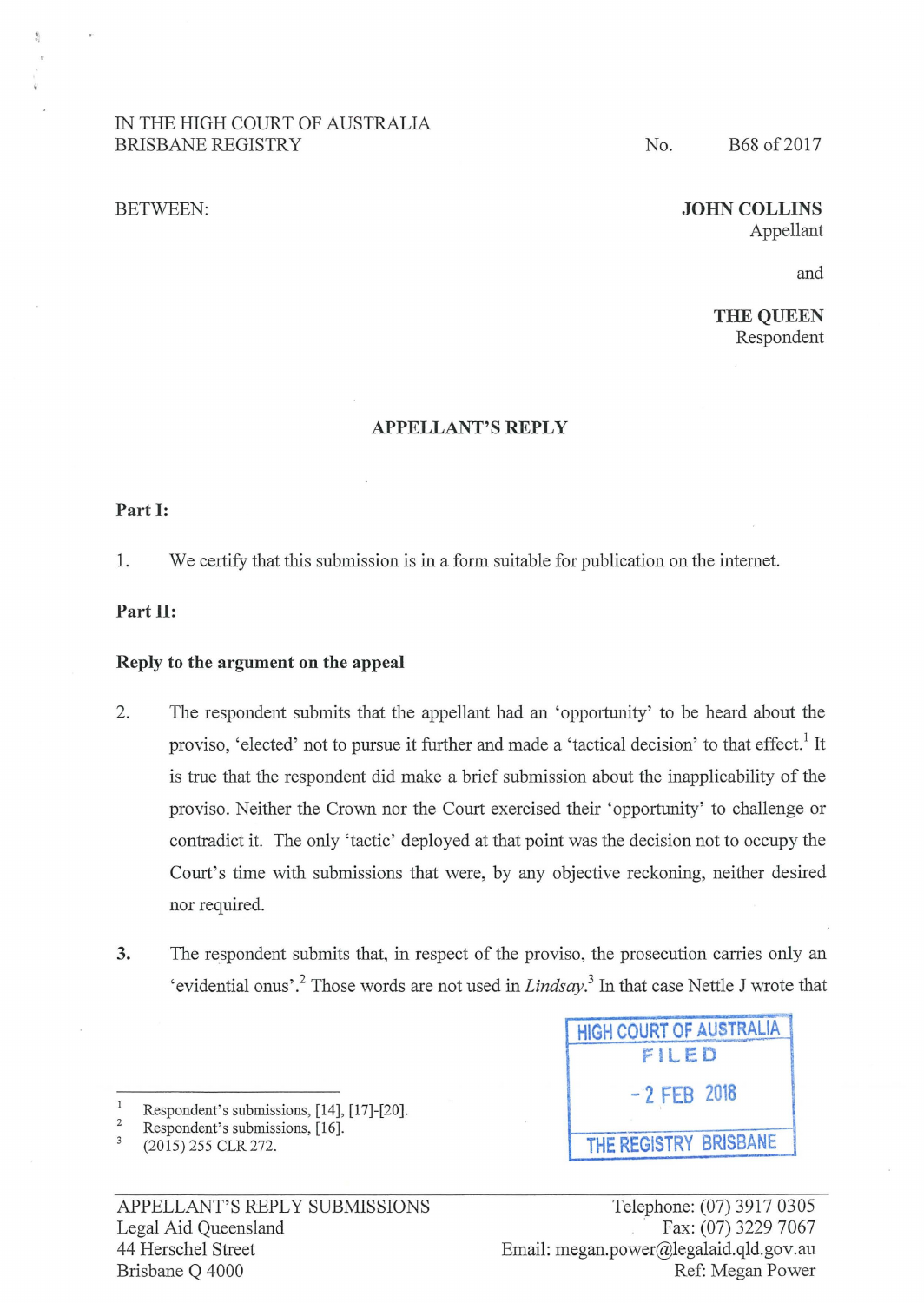# IN THE HIGH COURT OF AUSTRALIA BRISBANE REGISTRY

#### BETWEEN:

# No. B68 of 2017

## **JOHN COLLINS**  Appellant

and

**THE QUEEN**  Respondent

#### **APPELLANT'S REPLY**

**Part 1:** 

1. We certify that this submission is in a form suitable for publication on the intemet.

## Part **II**:

### **Reply to the argument on the appeal**

- 2. The respondent submits that the appellant had an 'opportunity' to be heard about the proviso, 'elected' not to pursue it further and made a 'tactical decision' to that effect.<sup>1</sup> It is true that the respondent did make a brief submission about the inapplicability of the proviso. Neither the Crown nor the Court exercised their 'opportunity' to challenge or contradict it. The only 'tactic' deployed at that point was the decision not to occupy the Court's time with submissions that were, by any objective reckoning, neither desired nor required.
- 3. The respondent submits that, in respect of the proviso, the prosecution carries only an 'evidential onus'.<sup>2</sup> Those words are not used in *Lindsay*.<sup>3</sup> In that case Nettle J wrote that
- $\mathbf{1}$ Respondent's submissions, [14], [17]-[20].

| <b>HIGH COURT OF AUSTRALIA</b><br>FILED |                       |
|-----------------------------------------|-----------------------|
| $-2$ FEB 2018                           |                       |
|                                         | THE REGISTRY BRISBANE |

**HIGH COURT OF AUSTRALiA** 

<sup>2</sup>  Respondent's submissions, [16].

 $\overline{3}$ (2015) 255 CLR 272.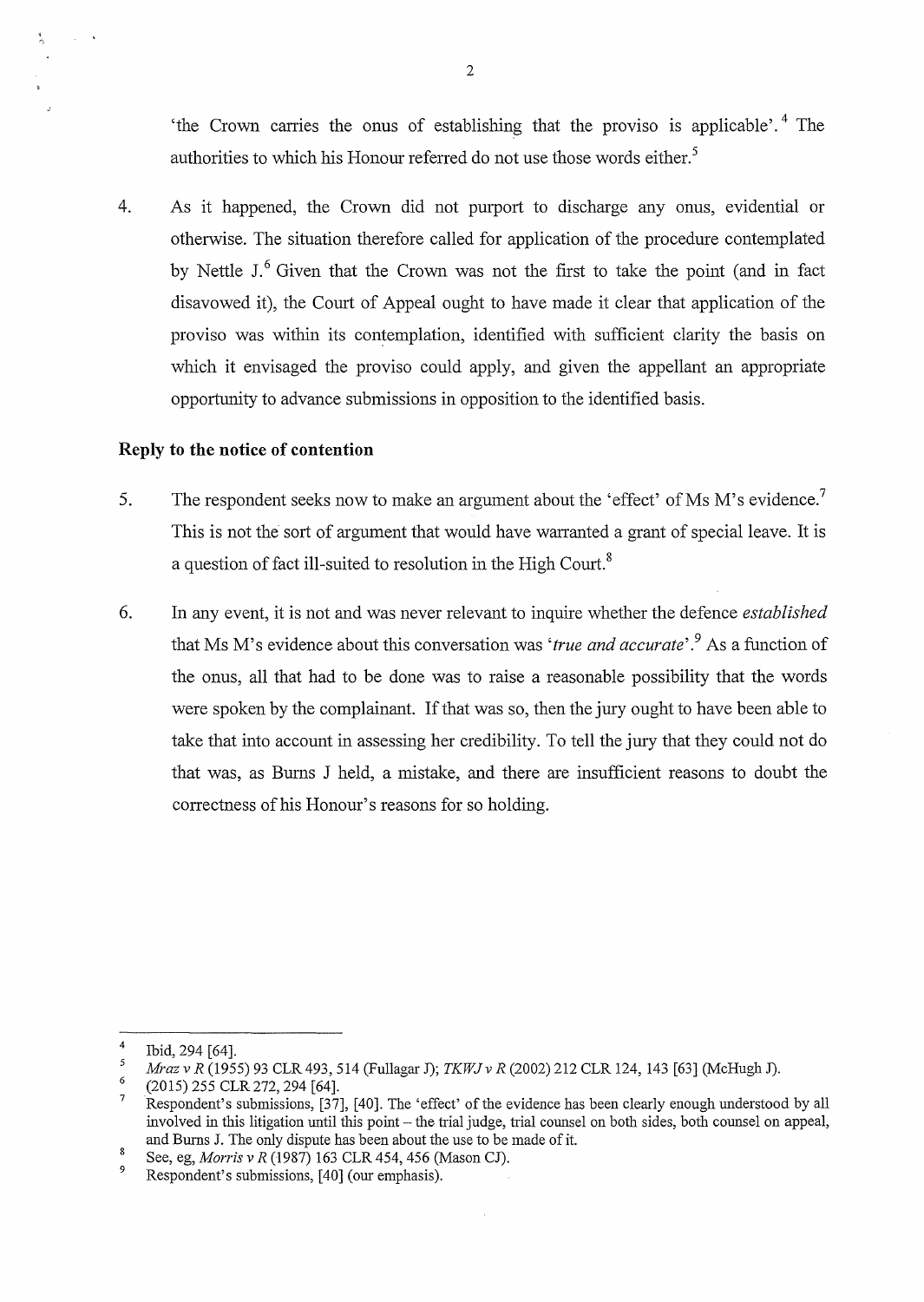'the Crown carries the onus of establishing that the proviso is applicable'. 4 The authorities to which his Honour referred do not use those words either.<sup>5</sup>

4. As it happened, the Crown did not purport to discharge any onus, evidential or otherwise. The situation therefore called for application of the procedure contemplated by Nettle J.<sup>6</sup> Given that the Crown was not the first to take the point (and in fact disavowed it), the Court of Appeal ought to have made it clear that application of the proviso was within its contemplation, identified with sufficient clarity the basis on which it envisaged the proviso could apply, and given the appellant an appropriate opportunity to advance submissions in opposition to the identified basis.

### **Reply to the notice of contention**

 $\mathcal{A}$ 

- 5. The respondent seeks now to make an argument about the 'effect' of Ms M's evidence.<sup>7</sup> This is not the sort of argument that would have warranted a grant of special leave. It is a question of fact ill-suited to resolution in the High Court.<sup>8</sup>
- 6. In any event, it is not and was never relevant to inquire whether the defence *established*  that Ms M' s evidence about this conversation was *'true and accurate'.* 9 As a function of the onus, all that had to be done was to raise a reasonable possibility that the words were spoken by the complainant. If that was so, then the jury ought to have been able to take that into account in assessing her credibility. To tell the jury that they could not do that was, as Bums J held, a mistake, and there are insufficient reasons to doubt the correctness of his Honour's reasons for so holding.

<sup>4</sup>  Ibid, 294 [64].

<sup>5</sup>  *Mraz v R* (1955) 93 CLR 493, 514 (Fullagar J); *TKWJ v R* (2002) 212 CLR 124, 143 [63] (McHugh J).

<sup>6</sup>  (2015) 255 CLR272, 294 [64].

<sup>7</sup>  Respondent's submissions, [37], [40]. The 'effect' of the evidence has been clearly enough understood by all involved in this litigation until this point - the trial judge, trial counsel on both sides, both counsel on appeal, and Burns J. The only dispute has been about the use to be made of it.

 $\bf 8$ See, eg, *Morris v R* (1987) 163 CLR 454, 456 (Mason CJ).

<sup>9</sup>  Respondent's submissions, [40] (our emphasis).